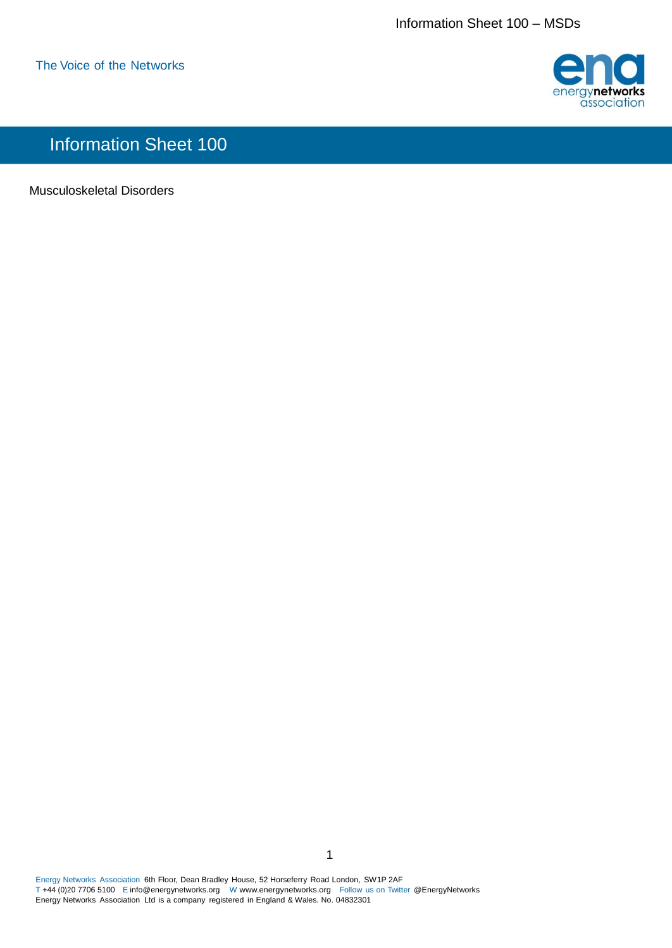

## Information Sheet 100

Musculoskeletal Disorders

Energy Networks Association 6th Floor, Dean Bradley House, 52 Horseferry Road London, SW1P 2AF T +44 (0)20 7706 5100 E [info@energynetworks.org W](mailto:info@energynetworks.org) [www.energynetworks.org F](http://www.energynetworks.org/)ollow us on Twitter @EnergyNetworks Energy Networks Association Ltd is a company registered in England & Wales. No. 04832301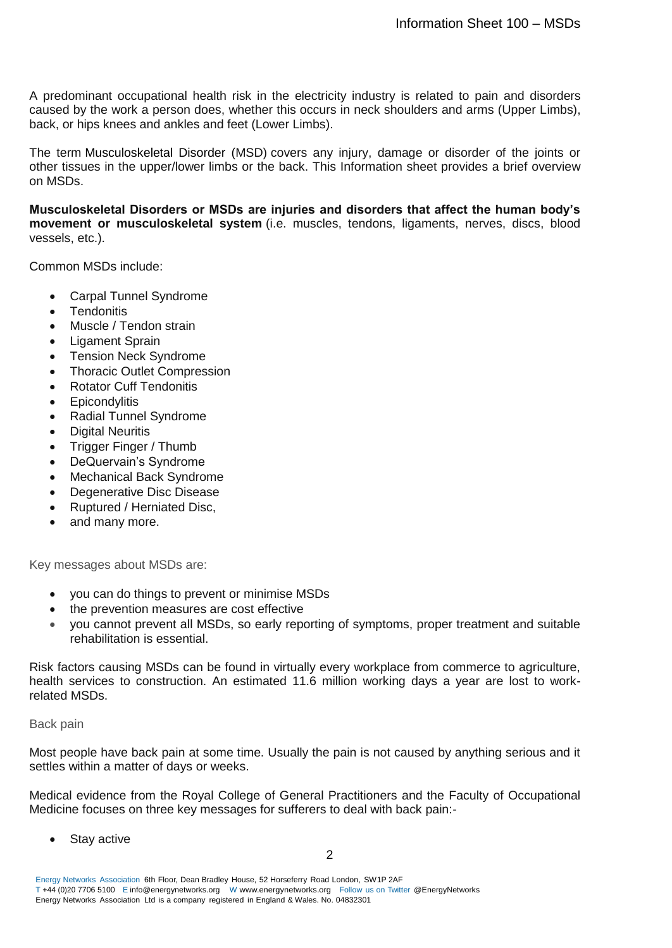A predominant occupational health risk in the electricity industry is related to pain and disorders caused by the work a person does, whether this occurs in neck shoulders and arms (Upper Limbs), back, or hips knees and ankles and feet (Lower Limbs).

The term Musculoskeletal Disorder (MSD) covers any injury, damage or disorder of the joints or other tissues in the upper/lower limbs or the back. This Information sheet provides a brief overview on MSDs.

**Musculoskeletal Disorders or MSDs are injuries and disorders that affect the human body's movement or musculoskeletal system** (i.e. muscles, tendons, ligaments, nerves, discs, blood vessels, etc.).

Common MSDs include:

- Carpal Tunnel Syndrome
- Tendonitis
- [Muscle / Tendon strain](http://ergo-plus.com/prevent-sprains-strains-workplace/)
- Ligament Sprain
- Tension Neck Syndrome
- Thoracic Outlet Compression
- Rotator Cuff Tendonitis
- **Epicondylitis**
- Radial Tunnel Syndrome
- Digital Neuritis
- Trigger Finger / Thumb
- DeQuervain's Syndrome
- Mechanical Back Syndrome
- Degenerative Disc Disease
- Ruptured / Herniated Disc,
- and many more.

Key messages about MSDs are:

- you can do things to prevent or minimise MSDs
- the prevention measures are cost effective
- you cannot prevent all MSDs, so early reporting of symptoms, proper treatment and suitable rehabilitation is essential.

Risk factors causing MSDs can be found in virtually every workplace from commerce to agriculture, health services to construction. An estimated 11.6 million working days a year are lost to workrelated MSDs.

Back pain

Most people have back pain at some time. Usually the pain is not caused by anything serious and it settles within a matter of days or weeks.

Medical evidence from the Royal College of General Practitioners and the Faculty of Occupational Medicine focuses on three key messages for sufferers to deal with back pain:-

Stay active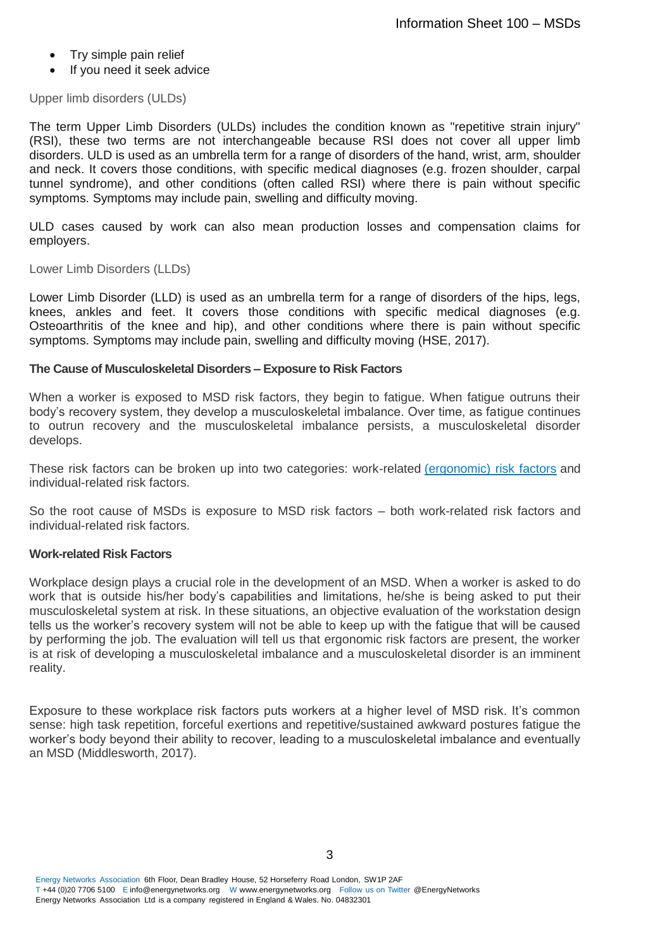- Try simple pain relief
- If you need it seek advice

Upper limb disorders (ULDs)

The term Upper Limb Disorders (ULDs) includes the condition known as "repetitive strain injury" (RSI), these two terms are not interchangeable because RSI does not cover all upper limb disorders. ULD is used as an umbrella term for a range of disorders of the hand, wrist, arm, shoulder and neck. It covers those conditions, with specific medical diagnoses (e.g. frozen shoulder, carpal tunnel syndrome), and other conditions (often called RSI) where there is pain without specific symptoms. Symptoms may include pain, swelling and difficulty moving.

ULD cases caused by work can also mean production losses and compensation claims for employers.

Lower Limb Disorders (LLDs)

Lower Limb Disorder (LLD) is used as an umbrella term for a range of disorders of the hips, legs, knees, ankles and feet. It covers those conditions with specific medical diagnoses (e.g. Osteoarthritis of the knee and hip), and other conditions where there is pain without specific symptoms. Symptoms may include pain, swelling and difficulty moving (HSE, 2017).

## **The Cause of Musculoskeletal Disorders – Exposure to Risk Factors**

When a worker is exposed to MSD risk factors, they begin to fatigue. When fatigue outruns their body's recovery system, they develop a musculoskeletal imbalance. Over time, as fatigue continues to outrun recovery and the musculoskeletal imbalance persists, a musculoskeletal disorder develops.

These risk factors can be broken up into two categories: work-related [\(ergonomic\) risk factors](http://ergo-plus.com/ergonomic-risk-factors/) and individual-related risk factors.

So the root cause of MSDs is exposure to MSD risk factors – both work-related risk factors and individual-related risk factors.

## **Work-related Risk Factors**

Workplace design plays a crucial role in the development of an MSD. When a worker is asked to do work that is outside his/her body's capabilities and limitations, he/she is being asked to put their musculoskeletal system at risk. In these situations, an objective evaluation of the workstation design tells us the worker's recovery system will not be able to keep up with the fatigue that will be caused by performing the job. The evaluation will tell us that ergonomic risk factors are present, the worker is at risk of developing a musculoskeletal imbalance and a musculoskeletal disorder is an imminent reality.

Exposure to these workplace risk factors puts workers at a higher level of MSD risk. It's common sense: high task repetition, forceful exertions and repetitive/sustained awkward postures fatigue the worker's body beyond their ability to recover, leading to a musculoskeletal imbalance and eventually an MSD (Middlesworth, 2017).